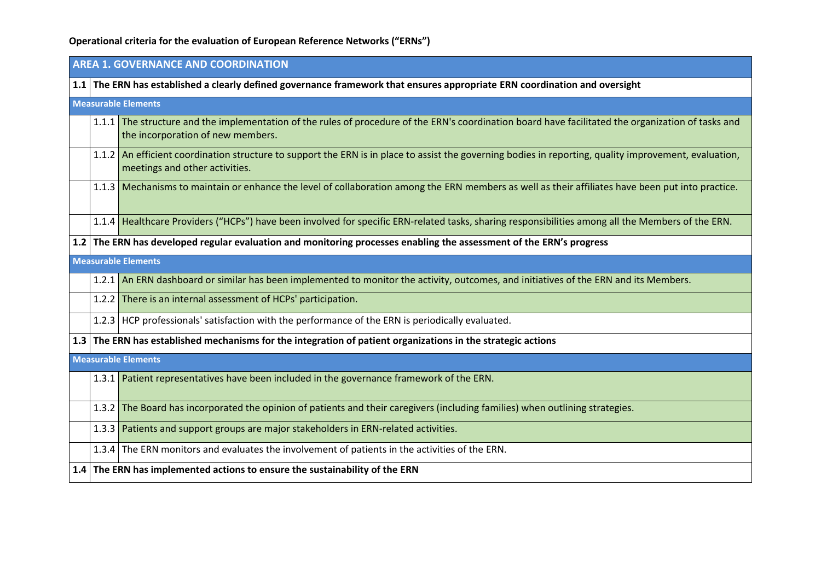# **Operational criteria for the evaluation of European Reference Networks ("ERNs")**

|     | <b>AREA 1. GOVERNANCE AND COORDINATION</b> |                                                                                                                                                                                          |  |
|-----|--------------------------------------------|------------------------------------------------------------------------------------------------------------------------------------------------------------------------------------------|--|
| 1.1 |                                            | The ERN has established a clearly defined governance framework that ensures appropriate ERN coordination and oversight                                                                   |  |
|     |                                            | <b>Measurable Elements</b>                                                                                                                                                               |  |
|     |                                            | 1.1.1 The structure and the implementation of the rules of procedure of the ERN's coordination board have facilitated the organization of tasks and<br>the incorporation of new members. |  |
|     |                                            | 1.1.2 An efficient coordination structure to support the ERN is in place to assist the governing bodies in reporting, quality improvement, evaluation,<br>meetings and other activities. |  |
|     |                                            | 1.1.3 Mechanisms to maintain or enhance the level of collaboration among the ERN members as well as their affiliates have been put into practice.                                        |  |
|     |                                            | 1.1.4 Healthcare Providers ("HCPs") have been involved for specific ERN-related tasks, sharing responsibilities among all the Members of the ERN.                                        |  |
|     |                                            | 1.2 The ERN has developed regular evaluation and monitoring processes enabling the assessment of the ERN's progress                                                                      |  |
|     |                                            | <b>Measurable Elements</b>                                                                                                                                                               |  |
|     |                                            | 1.2.1 An ERN dashboard or similar has been implemented to monitor the activity, outcomes, and initiatives of the ERN and its Members.                                                    |  |
|     |                                            | 1.2.2 There is an internal assessment of HCPs' participation.                                                                                                                            |  |
|     |                                            | 1.2.3 HCP professionals' satisfaction with the performance of the ERN is periodically evaluated.                                                                                         |  |
|     |                                            | 1.3 The ERN has established mechanisms for the integration of patient organizations in the strategic actions                                                                             |  |
|     |                                            | <b>Measurable Elements</b>                                                                                                                                                               |  |
|     |                                            | 1.3.1 Patient representatives have been included in the governance framework of the ERN.                                                                                                 |  |
|     |                                            | 1.3.2 The Board has incorporated the opinion of patients and their caregivers (including families) when outlining strategies.                                                            |  |
|     |                                            | 1.3.3 Patients and support groups are major stakeholders in ERN-related activities.                                                                                                      |  |
|     |                                            | 1.3.4 The ERN monitors and evaluates the involvement of patients in the activities of the ERN.                                                                                           |  |
|     |                                            | 1.4 The ERN has implemented actions to ensure the sustainability of the ERN                                                                                                              |  |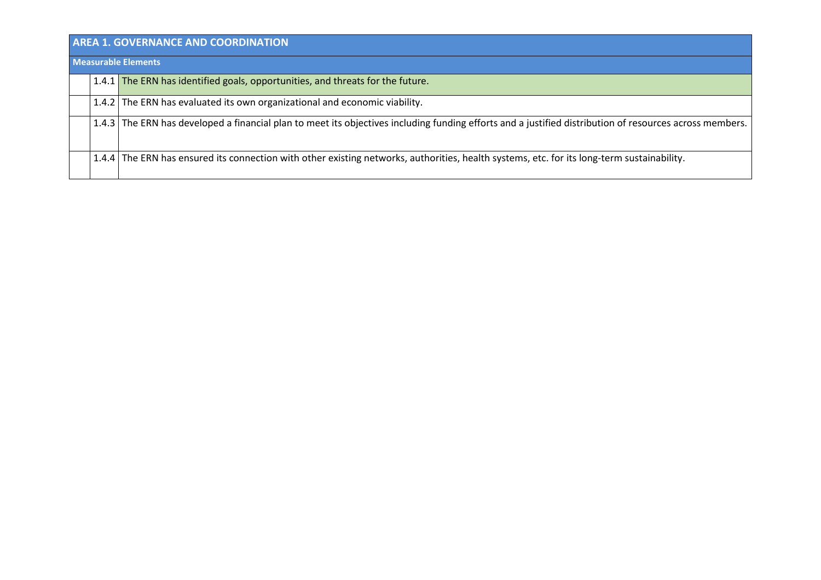| <b>AREA 1. GOVERNANCE AND COORDINATION</b> |                                                                                                                                                         |  |
|--------------------------------------------|---------------------------------------------------------------------------------------------------------------------------------------------------------|--|
| <b>Measurable Elements</b>                 |                                                                                                                                                         |  |
|                                            | 1.4.1 The ERN has identified goals, opportunities, and threats for the future.                                                                          |  |
|                                            | 1.4.2 The ERN has evaluated its own organizational and economic viability.                                                                              |  |
|                                            | 1.4.3 The ERN has developed a financial plan to meet its objectives including funding efforts and a justified distribution of resources across members. |  |
|                                            | 1.4.4 The ERN has ensured its connection with other existing networks, authorities, health systems, etc. for its long-term sustainability.              |  |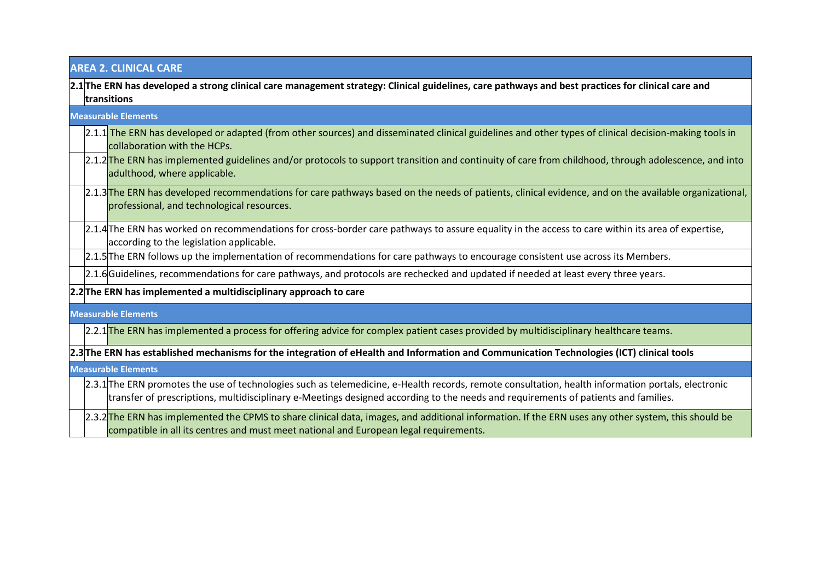| <b>AREA 2. CLINICAL CARE</b>                                                                                                                                                                                                                                                             |  |  |
|------------------------------------------------------------------------------------------------------------------------------------------------------------------------------------------------------------------------------------------------------------------------------------------|--|--|
| 2.1 The ERN has developed a strong clinical care management strategy: Clinical guidelines, care pathways and best practices for clinical care and<br>transitions                                                                                                                         |  |  |
| <b>Measurable Elements</b>                                                                                                                                                                                                                                                               |  |  |
| 2.1.1 The ERN has developed or adapted (from other sources) and disseminated clinical guidelines and other types of clinical decision-making tools in<br>collaboration with the HCPs.                                                                                                    |  |  |
| 2.1.2 <sup>The</sup> ERN has implemented guidelines and/or protocols to support transition and continuity of care from childhood, through adolescence, and into<br>adulthood, where applicable.                                                                                          |  |  |
| [2.1.3]The ERN has developed recommendations for care pathways based on the needs of patients, clinical evidence, and on the available organizational,<br>professional, and technological resources.                                                                                     |  |  |
| [2.1.4] The ERN has worked on recommendations for cross-border care pathways to assure equality in the access to care within its area of expertise,<br>according to the legislation applicable.                                                                                          |  |  |
| 2.1.5 The ERN follows up the implementation of recommendations for care pathways to encourage consistent use across its Members.                                                                                                                                                         |  |  |
| 2.1.6 Guidelines, recommendations for care pathways, and protocols are rechecked and updated if needed at least every three years.                                                                                                                                                       |  |  |
| 2.2 The ERN has implemented a multidisciplinary approach to care                                                                                                                                                                                                                         |  |  |
| <b>Measurable Elements</b>                                                                                                                                                                                                                                                               |  |  |
| [2.2.1] The ERN has implemented a process for offering advice for complex patient cases provided by multidisciplinary healthcare teams.                                                                                                                                                  |  |  |
| 2.3 The ERN has established mechanisms for the integration of eHealth and Information and Communication Technologies (ICT) clinical tools                                                                                                                                                |  |  |
| <b>Measurable Elements</b>                                                                                                                                                                                                                                                               |  |  |
| 2.3.1 The ERN promotes the use of technologies such as telemedicine, e-Health records, remote consultation, health information portals, electronic<br>transfer of prescriptions, multidisciplinary e-Meetings designed according to the needs and requirements of patients and families. |  |  |
| 2.3.2 <sup>The</sup> ERN has implemented the CPMS to share clinical data, images, and additional information. If the ERN uses any other system, this should be<br>compatible in all its centres and must meet national and European legal requirements.                                  |  |  |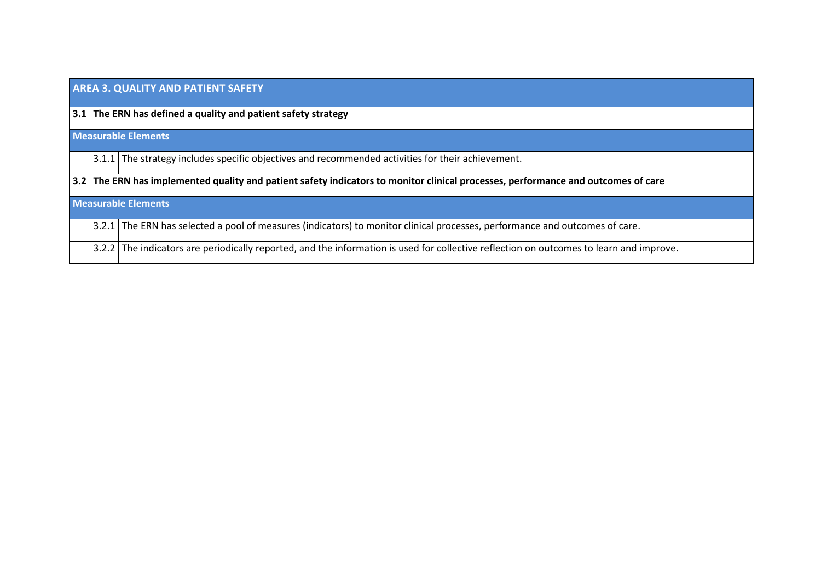| <b>AREA 3. QUALITY AND PATIENT SAFETY</b> |                                                                                                                                         |  |
|-------------------------------------------|-----------------------------------------------------------------------------------------------------------------------------------------|--|
|                                           | $\vert$ 3.1 $\vert$ The ERN has defined a quality and patient safety strategy                                                           |  |
|                                           | <b>Measurable Elements</b>                                                                                                              |  |
|                                           | 3.1.1 The strategy includes specific objectives and recommended activities for their achievement.                                       |  |
|                                           | 3.2 The ERN has implemented quality and patient safety indicators to monitor clinical processes, performance and outcomes of care       |  |
|                                           | <b>Measurable Elements</b>                                                                                                              |  |
|                                           | 3.2.1 The ERN has selected a pool of measures (indicators) to monitor clinical processes, performance and outcomes of care.             |  |
|                                           | 3.2.2 The indicators are periodically reported, and the information is used for collective reflection on outcomes to learn and improve. |  |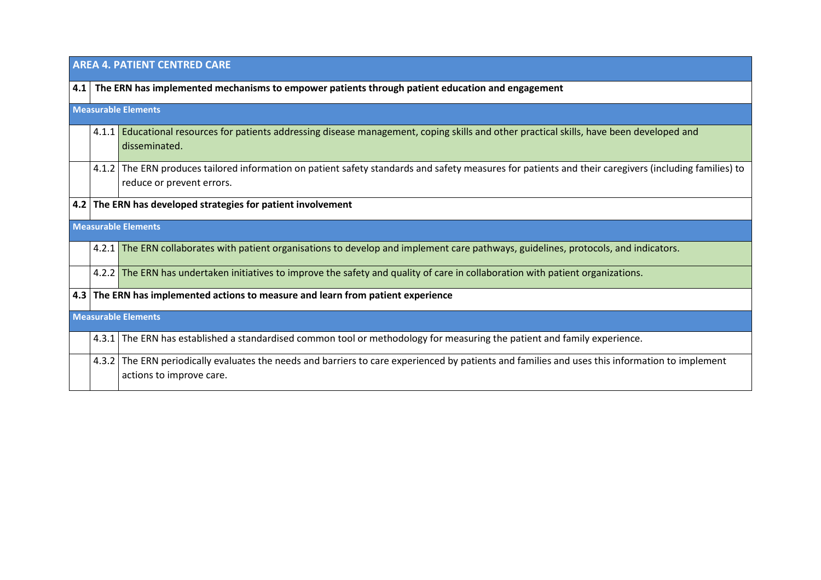| <b>AREA 4. PATIENT CENTRED CARE</b>                                                                 |                                                                                                                                                                                    |  |
|-----------------------------------------------------------------------------------------------------|------------------------------------------------------------------------------------------------------------------------------------------------------------------------------------|--|
| 4.1 The ERN has implemented mechanisms to empower patients through patient education and engagement |                                                                                                                                                                                    |  |
|                                                                                                     | <b>Measurable Elements</b>                                                                                                                                                         |  |
|                                                                                                     | 4.1.1 <b>Educational resources for patients addressing disease management, coping skills and other practical skills, have been developed and</b><br>disseminated.                  |  |
|                                                                                                     | 4.1.2 The ERN produces tailored information on patient safety standards and safety measures for patients and their caregivers (including families) to<br>reduce or prevent errors. |  |
|                                                                                                     | 4.2 The ERN has developed strategies for patient involvement                                                                                                                       |  |
|                                                                                                     | <b>Measurable Elements</b>                                                                                                                                                         |  |
|                                                                                                     | 4.2.1 The ERN collaborates with patient organisations to develop and implement care pathways, guidelines, protocols, and indicators.                                               |  |
|                                                                                                     | 4.2.2 The ERN has undertaken initiatives to improve the safety and quality of care in collaboration with patient organizations.                                                    |  |
|                                                                                                     | 4.3 The ERN has implemented actions to measure and learn from patient experience                                                                                                   |  |
|                                                                                                     | <b>Measurable Elements</b>                                                                                                                                                         |  |
|                                                                                                     | 4.3.1 The ERN has established a standardised common tool or methodology for measuring the patient and family experience.                                                           |  |
|                                                                                                     | 4.3.2 The ERN periodically evaluates the needs and barriers to care experienced by patients and families and uses this information to implement<br>actions to improve care.        |  |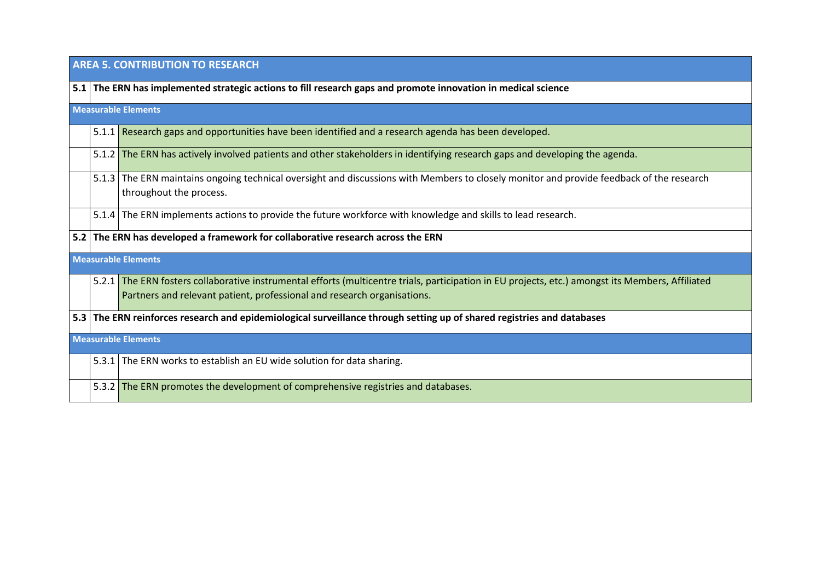|     | <b>AREA 5. CONTRIBUTION TO RESEARCH</b> |                                                                                                                                                                                                                              |  |
|-----|-----------------------------------------|------------------------------------------------------------------------------------------------------------------------------------------------------------------------------------------------------------------------------|--|
|     |                                         | 5.1 The ERN has implemented strategic actions to fill research gaps and promote innovation in medical science                                                                                                                |  |
|     |                                         | <b>Measurable Elements</b>                                                                                                                                                                                                   |  |
|     |                                         | 5.1.1 Research gaps and opportunities have been identified and a research agenda has been developed.                                                                                                                         |  |
|     |                                         | 5.1.2 The ERN has actively involved patients and other stakeholders in identifying research gaps and developing the agenda.                                                                                                  |  |
|     |                                         | 5.1.3 The ERN maintains ongoing technical oversight and discussions with Members to closely monitor and provide feedback of the research<br>throughout the process.                                                          |  |
|     |                                         | 5.1.4 The ERN implements actions to provide the future workforce with knowledge and skills to lead research.                                                                                                                 |  |
| 5.2 |                                         | The ERN has developed a framework for collaborative research across the ERN                                                                                                                                                  |  |
|     |                                         | <b>Measurable Elements</b>                                                                                                                                                                                                   |  |
|     |                                         | 5.2.1 The ERN fosters collaborative instrumental efforts (multicentre trials, participation in EU projects, etc.) amongst its Members, Affiliated<br>Partners and relevant patient, professional and research organisations. |  |
| 5.3 |                                         | The ERN reinforces research and epidemiological surveillance through setting up of shared registries and databases                                                                                                           |  |
|     | <b>Measurable Elements</b>              |                                                                                                                                                                                                                              |  |
|     |                                         | 5.3.1 The ERN works to establish an EU wide solution for data sharing.                                                                                                                                                       |  |
|     |                                         | 5.3.2 The ERN promotes the development of comprehensive registries and databases.                                                                                                                                            |  |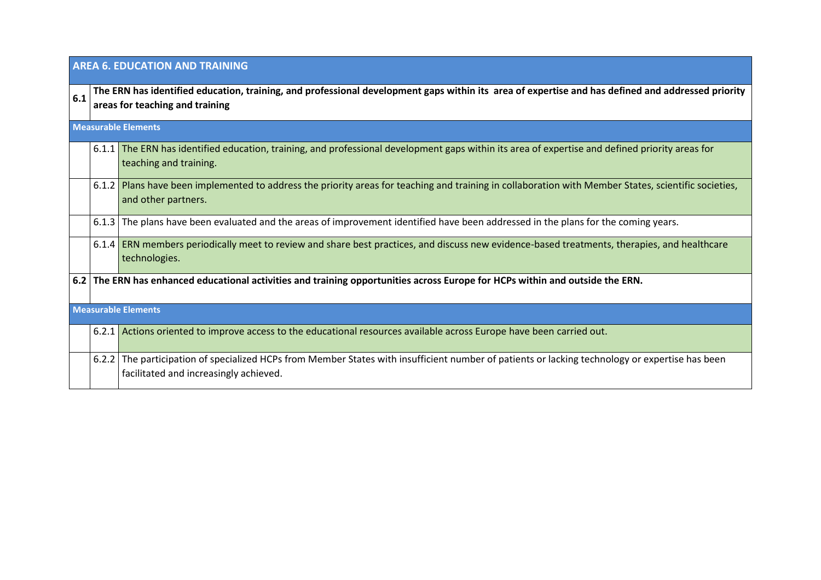|     | <b>AREA 6. EDUCATION AND TRAINING</b> |                                                                                                                                                                                           |  |
|-----|---------------------------------------|-------------------------------------------------------------------------------------------------------------------------------------------------------------------------------------------|--|
| 6.1 |                                       | The ERN has identified education, training, and professional development gaps within its area of expertise and has defined and addressed priority<br>areas for teaching and training      |  |
|     |                                       | <b>Measurable Elements</b>                                                                                                                                                                |  |
|     |                                       | 6.1.1 The ERN has identified education, training, and professional development gaps within its area of expertise and defined priority areas for<br>teaching and training.                 |  |
|     |                                       | 6.1.2 Plans have been implemented to address the priority areas for teaching and training in collaboration with Member States, scientific societies,<br>and other partners.               |  |
|     |                                       | 6.1.3 The plans have been evaluated and the areas of improvement identified have been addressed in the plans for the coming years.                                                        |  |
|     |                                       | 6.1.4 ERN members periodically meet to review and share best practices, and discuss new evidence-based treatments, therapies, and healthcare<br>technologies.                             |  |
|     |                                       | 6.2 The ERN has enhanced educational activities and training opportunities across Europe for HCPs within and outside the ERN.                                                             |  |
|     |                                       | <b>Measurable Elements</b>                                                                                                                                                                |  |
|     |                                       | 6.2.1 Actions oriented to improve access to the educational resources available across Europe have been carried out.                                                                      |  |
|     |                                       | 6.2.2 The participation of specialized HCPs from Member States with insufficient number of patients or lacking technology or expertise has been<br>facilitated and increasingly achieved. |  |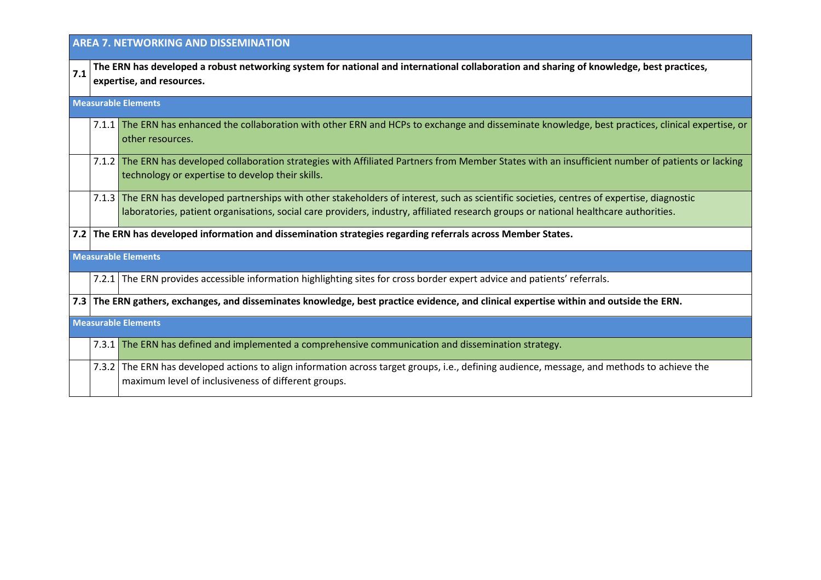|     | <b>AREA 7. NETWORKING AND DISSEMINATION</b> |                                                                                                                                                                                                                                                                                      |  |
|-----|---------------------------------------------|--------------------------------------------------------------------------------------------------------------------------------------------------------------------------------------------------------------------------------------------------------------------------------------|--|
| 7.1 |                                             | The ERN has developed a robust networking system for national and international collaboration and sharing of knowledge, best practices,<br>expertise, and resources.                                                                                                                 |  |
|     |                                             | <b>Measurable Elements</b>                                                                                                                                                                                                                                                           |  |
|     |                                             | 7.1.1 The ERN has enhanced the collaboration with other ERN and HCPs to exchange and disseminate knowledge, best practices, clinical expertise, or<br>other resources.                                                                                                               |  |
|     |                                             | 7.1.2 The ERN has developed collaboration strategies with Affiliated Partners from Member States with an insufficient number of patients or lacking<br>technology or expertise to develop their skills.                                                                              |  |
|     |                                             | 7.1.3 The ERN has developed partnerships with other stakeholders of interest, such as scientific societies, centres of expertise, diagnostic<br>laboratories, patient organisations, social care providers, industry, affiliated research groups or national healthcare authorities. |  |
|     |                                             | 7.2 The ERN has developed information and dissemination strategies regarding referrals across Member States.                                                                                                                                                                         |  |
|     |                                             | <b>Measurable Elements</b>                                                                                                                                                                                                                                                           |  |
|     |                                             | 7.2.1 The ERN provides accessible information highlighting sites for cross border expert advice and patients' referrals.                                                                                                                                                             |  |
|     |                                             | 7.3 The ERN gathers, exchanges, and disseminates knowledge, best practice evidence, and clinical expertise within and outside the ERN.                                                                                                                                               |  |
|     | <b>Measurable Elements</b>                  |                                                                                                                                                                                                                                                                                      |  |
|     |                                             | 7.3.1 The ERN has defined and implemented a comprehensive communication and dissemination strategy.                                                                                                                                                                                  |  |
|     |                                             | 7.3.2 The ERN has developed actions to align information across target groups, i.e., defining audience, message, and methods to achieve the<br>maximum level of inclusiveness of different groups.                                                                                   |  |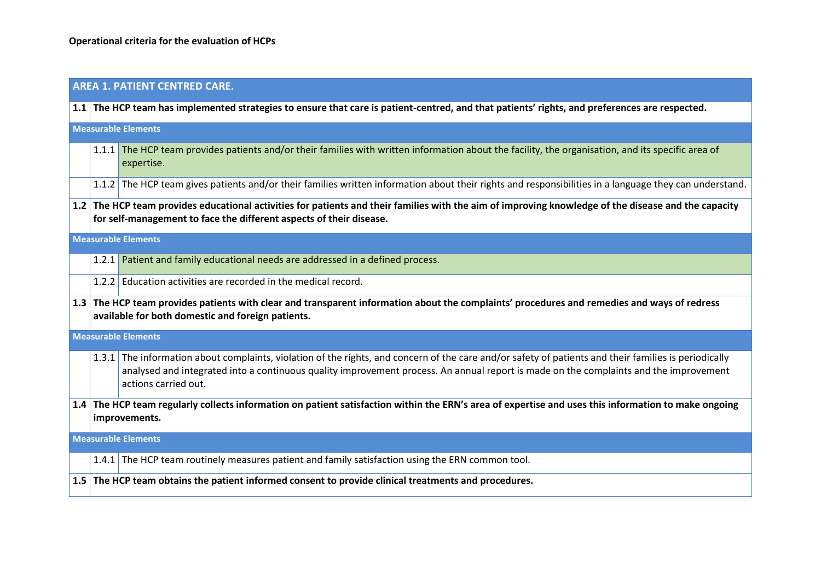#### **AREA 1. PATIENT CENTRED CARE.**

**1.1 The HCP team has implemented strategies to ensure that care is patient-centred, and that patients' rights, and preferences are respected. Measurable Elements** 1.1.1 The HCP team provides patients and/or their families with written information about the facility, the organisation, and its specific area of expertise. 1.1.2 The HCP team gives patients and/or their families written information about their rights and responsibilities in a language they can understand. **1.2 The HCP team provides educational activities for patients and their families with the aim of improving knowledge of the disease and the capacity for self-management to face the different aspects of their disease. Measurable Elements** 1.2.1 Patient and family educational needs are addressed in a defined process. 1.2.2 Education activities are recorded in the medical record. **1.3 The HCP team provides patients with clear and transparent information about the complaints' procedures and remedies and ways of redress available for both domestic and foreign patients. Measurable Elements** 1.3.1 The information about complaints, violation of the rights, and concern of the care and/or safety of patients and their families is periodically analysed and integrated into a continuous quality improvement process. An annual report is made on the complaints and the improvement actions carried out. **1.4 The HCP team regularly collects information on patient satisfaction within the ERN's area of expertise and uses this information to make ongoing improvements. Measurable Elements** 1.4.1 The HCP team routinely measures patient and family satisfaction using the ERN common tool. **1.5 The HCP team obtains the patient informed consent to provide clinical treatments and procedures.**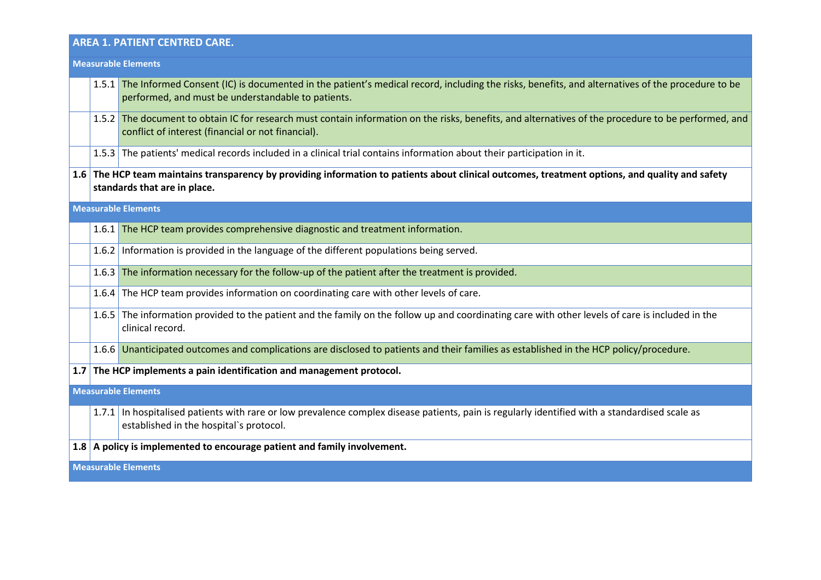# **AREA 1. PATIENT CENTRED CARE.**

|     | <b>Measurable Elements</b> |                                                                                                                                                                                                             |  |
|-----|----------------------------|-------------------------------------------------------------------------------------------------------------------------------------------------------------------------------------------------------------|--|
|     |                            | 1.5.1 The Informed Consent (IC) is documented in the patient's medical record, including the risks, benefits, and alternatives of the procedure to be<br>performed, and must be understandable to patients. |  |
|     | 1.5.2                      | The document to obtain IC for research must contain information on the risks, benefits, and alternatives of the procedure to be performed, and<br>conflict of interest (financial or not financial).        |  |
|     |                            | 1.5.3 The patients' medical records included in a clinical trial contains information about their participation in it.                                                                                      |  |
| 1.6 |                            | The HCP team maintains transparency by providing information to patients about clinical outcomes, treatment options, and quality and safety<br>standards that are in place.                                 |  |
|     |                            | <b>Measurable Elements</b>                                                                                                                                                                                  |  |
|     |                            | 1.6.1 The HCP team provides comprehensive diagnostic and treatment information.                                                                                                                             |  |
|     | 1.6.2                      | Information is provided in the language of the different populations being served.                                                                                                                          |  |
|     | 1.6.3                      | The information necessary for the follow-up of the patient after the treatment is provided.                                                                                                                 |  |
|     |                            | 1.6.4 The HCP team provides information on coordinating care with other levels of care.                                                                                                                     |  |
|     |                            | 1.6.5 The information provided to the patient and the family on the follow up and coordinating care with other levels of care is included in the<br>clinical record.                                        |  |
|     |                            | 1.6.6 Unanticipated outcomes and complications are disclosed to patients and their families as established in the HCP policy/procedure.                                                                     |  |
|     |                            | 1.7 The HCP implements a pain identification and management protocol.                                                                                                                                       |  |
|     |                            | <b>Measurable Elements</b>                                                                                                                                                                                  |  |
|     |                            | 1.7.1 In hospitalised patients with rare or low prevalence complex disease patients, pain is regularly identified with a standardised scale as<br>established in the hospital's protocol.                   |  |
|     |                            | 1.8 A policy is implemented to encourage patient and family involvement.                                                                                                                                    |  |
|     | <b>Measurable Elements</b> |                                                                                                                                                                                                             |  |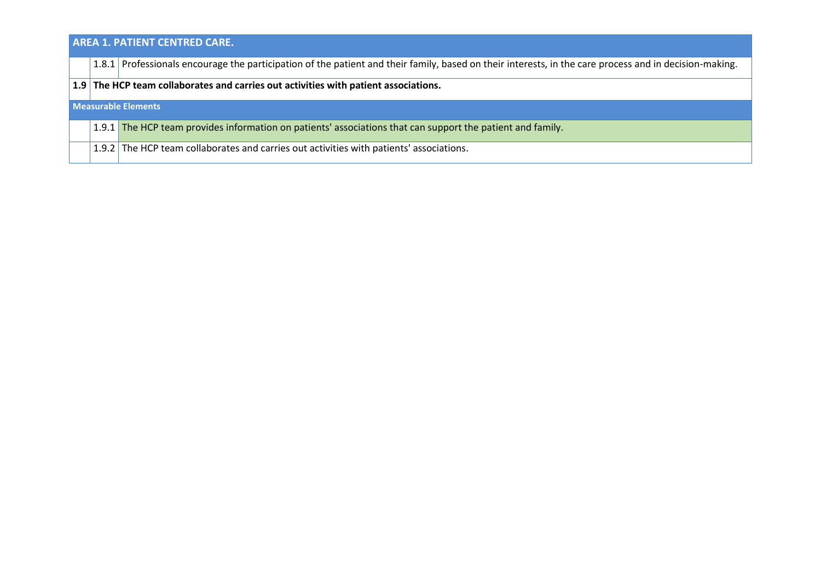## **AREA 1. PATIENT CENTRED CARE.**

1.8.1 Professionals encourage the participation of the patient and their family, based on their interests, in the care process and in decision-making.

#### **1.9 The HCP team collaborates and carries out activities with patient associations.**

#### **Measurable Elements**

- 1.9.1 The HCP team provides information on patients' associations that can support the patient and family.
- 1.9.2 The HCP team collaborates and carries out activities with patients' associations.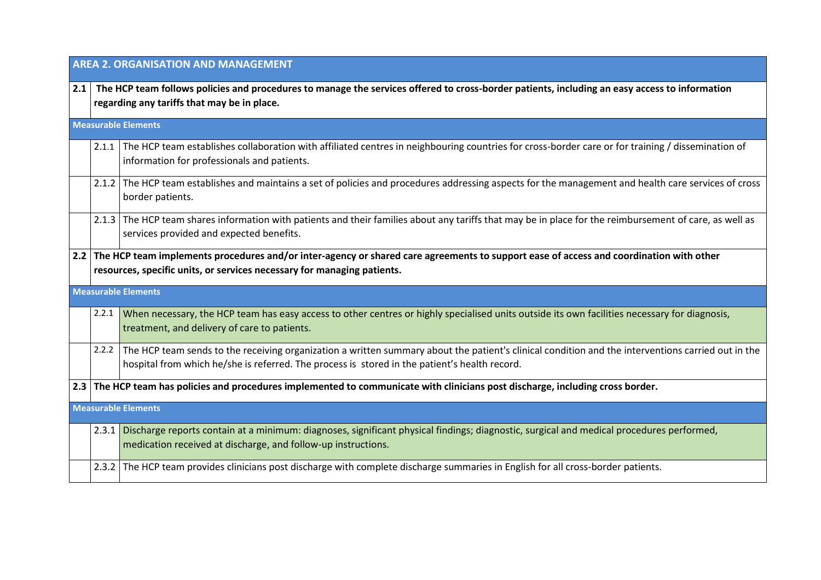|     | <b>AREA 2. ORGANISATION AND MANAGEMENT</b> |                                                                                                                                                                                                                                                     |  |
|-----|--------------------------------------------|-----------------------------------------------------------------------------------------------------------------------------------------------------------------------------------------------------------------------------------------------------|--|
| 2.1 |                                            | The HCP team follows policies and procedures to manage the services offered to cross-border patients, including an easy access to information<br>regarding any tariffs that may be in place.                                                        |  |
|     |                                            | <b>Measurable Elements</b>                                                                                                                                                                                                                          |  |
|     |                                            | 2.1.1 The HCP team establishes collaboration with affiliated centres in neighbouring countries for cross-border care or for training / dissemination of<br>information for professionals and patients.                                              |  |
|     |                                            | 2.1.2 The HCP team establishes and maintains a set of policies and procedures addressing aspects for the management and health care services of cross<br>border patients.                                                                           |  |
|     |                                            | 2.1.3 The HCP team shares information with patients and their families about any tariffs that may be in place for the reimbursement of care, as well as<br>services provided and expected benefits.                                                 |  |
|     |                                            | 2.2 The HCP team implements procedures and/or inter-agency or shared care agreements to support ease of access and coordination with other<br>resources, specific units, or services necessary for managing patients.                               |  |
|     |                                            | <b>Measurable Elements</b>                                                                                                                                                                                                                          |  |
|     | 2.2.1                                      | When necessary, the HCP team has easy access to other centres or highly specialised units outside its own facilities necessary for diagnosis,<br>treatment, and delivery of care to patients.                                                       |  |
|     | 2.2.2                                      | The HCP team sends to the receiving organization a written summary about the patient's clinical condition and the interventions carried out in the<br>hospital from which he/she is referred. The process is stored in the patient's health record. |  |
|     |                                            | 2.3 The HCP team has policies and procedures implemented to communicate with clinicians post discharge, including cross border.                                                                                                                     |  |
|     |                                            | <b>Measurable Elements</b>                                                                                                                                                                                                                          |  |
|     |                                            | 2.3.1 Discharge reports contain at a minimum: diagnoses, significant physical findings; diagnostic, surgical and medical procedures performed,<br>medication received at discharge, and follow-up instructions.                                     |  |
|     |                                            | 2.3.2 The HCP team provides clinicians post discharge with complete discharge summaries in English for all cross-border patients.                                                                                                                   |  |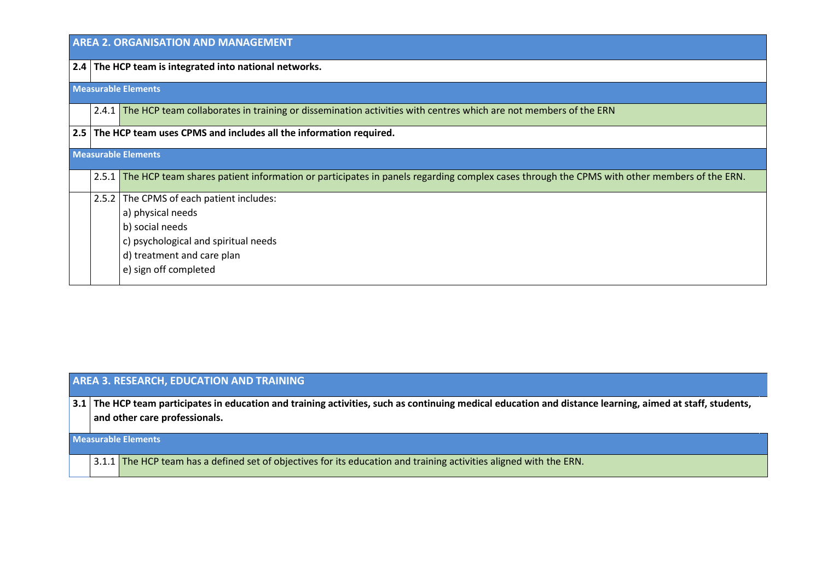| <b>AREA 2. ORGANISATION AND MANAGEMENT</b> |                                                                                                                                                 |  |
|--------------------------------------------|-------------------------------------------------------------------------------------------------------------------------------------------------|--|
|                                            | 2.4 The HCP team is integrated into national networks.                                                                                          |  |
|                                            | <b>Measurable Elements</b>                                                                                                                      |  |
|                                            | 2.4.1 The HCP team collaborates in training or dissemination activities with centres which are not members of the ERN                           |  |
|                                            | 2.5 The HCP team uses CPMS and includes all the information required.                                                                           |  |
|                                            | <b>Measurable Elements</b>                                                                                                                      |  |
|                                            | 2.5.1 The HCP team shares patient information or participates in panels regarding complex cases through the CPMS with other members of the ERN. |  |
| 2.5.2                                      | The CPMS of each patient includes:                                                                                                              |  |
|                                            | a) physical needs                                                                                                                               |  |
|                                            | b) social needs                                                                                                                                 |  |
|                                            | c) psychological and spiritual needs                                                                                                            |  |
|                                            | d) treatment and care plan                                                                                                                      |  |
|                                            | e) sign off completed                                                                                                                           |  |

## **AREA 3. RESEARCH, EDUCATION AND TRAINING**

**3.1 The HCP team participates in education and training activities, such as continuing medical education and distance learning, aimed at staff, students, and other care professionals.**

#### **Measurable Elements**

3.1.1 The HCP team has a defined set of objectives for its education and training activities aligned with the ERN.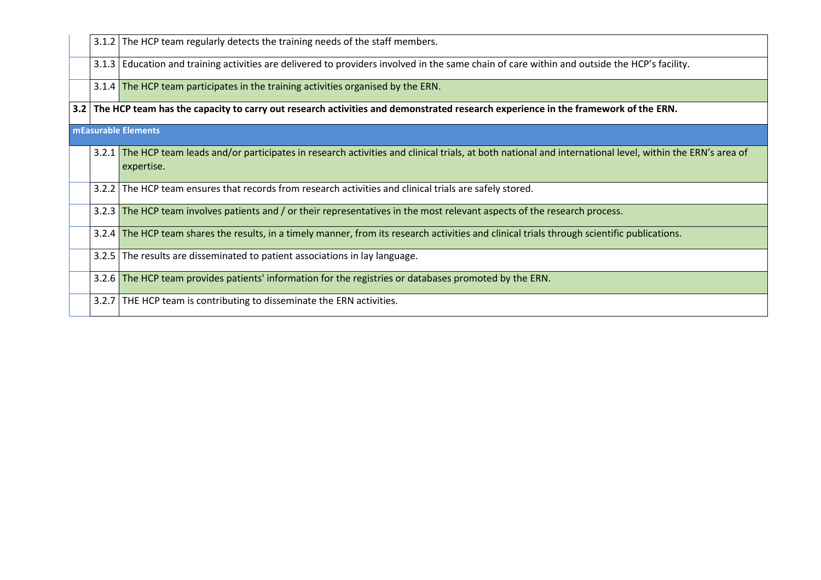|  | 3.1.2 The HCP team regularly detects the training needs of the staff members.                                                                                             |
|--|---------------------------------------------------------------------------------------------------------------------------------------------------------------------------|
|  | 3.1.3 Education and training activities are delivered to providers involved in the same chain of care within and outside the HCP's facility.                              |
|  | 3.1.4 The HCP team participates in the training activities organised by the ERN.                                                                                          |
|  | 3.2 The HCP team has the capacity to carry out research activities and demonstrated research experience in the framework of the ERN.                                      |
|  | mEasurable Elements                                                                                                                                                       |
|  | 3.2.1 The HCP team leads and/or participates in research activities and clinical trials, at both national and international level, within the ERN's area of<br>expertise. |
|  | 3.2.2 The HCP team ensures that records from research activities and clinical trials are safely stored.                                                                   |
|  | 3.2.3 The HCP team involves patients and / or their representatives in the most relevant aspects of the research process.                                                 |
|  | 3.2.4 The HCP team shares the results, in a timely manner, from its research activities and clinical trials through scientific publications.                              |
|  | 3.2.5 The results are disseminated to patient associations in lay language.                                                                                               |
|  | 3.2.6 The HCP team provides patients' information for the registries or databases promoted by the ERN.                                                                    |
|  | 3.2.7 THE HCP team is contributing to disseminate the ERN activities.                                                                                                     |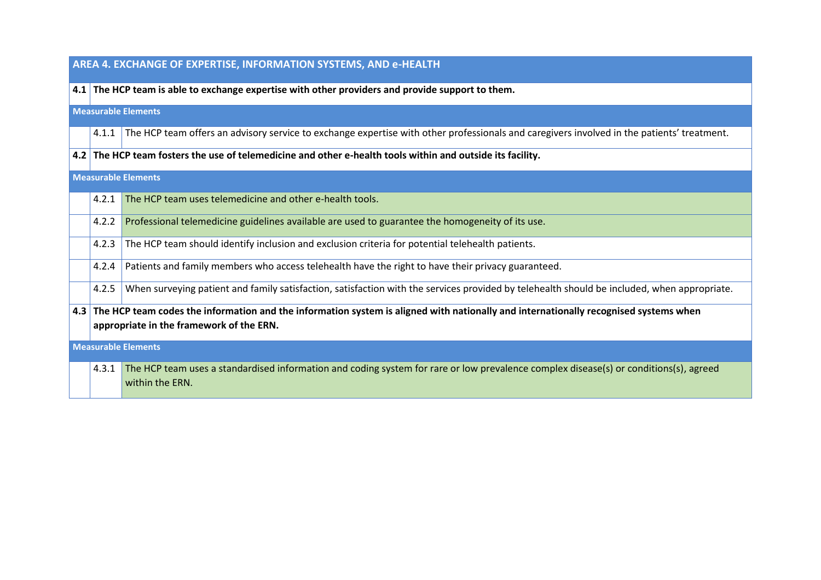### **AREA 4. EXCHANGE OF EXPERTISE, INFORMATION SYSTEMS, AND e-HEALTH**

**4.1 The HCP team is able to exchange expertise with other providers and provide support to them.**

**Measurable Elements**

4.1.1 The HCP team offers an advisory service to exchange expertise with other professionals and caregivers involved in the patients' treatment.

**4.2 The HCP team fosters the use of telemedicine and other e-health tools within and outside its facility.**

**Measurable Elements**

|                            | 4.2.1                                                                                                                                                                                | The HCP team uses telemedicine and other e-health tools.                                                                                                 |  |  |
|----------------------------|--------------------------------------------------------------------------------------------------------------------------------------------------------------------------------------|----------------------------------------------------------------------------------------------------------------------------------------------------------|--|--|
|                            | 4.2.2                                                                                                                                                                                | Professional telemedicine guidelines available are used to guarantee the homogeneity of its use.                                                         |  |  |
|                            |                                                                                                                                                                                      | 4.2.3 The HCP team should identify inclusion and exclusion criteria for potential telehealth patients.                                                   |  |  |
|                            | 4.2.4                                                                                                                                                                                | Patients and family members who access telehealth have the right to have their privacy guaranteed.                                                       |  |  |
|                            | 4.2.5                                                                                                                                                                                | When surveying patient and family satisfaction, satisfaction with the services provided by telehealth should be included, when appropriate.              |  |  |
|                            | 4.3 The HCP team codes the information and the information system is aligned with nationally and internationally recognised systems when<br>appropriate in the framework of the ERN. |                                                                                                                                                          |  |  |
| <b>Measurable Elements</b> |                                                                                                                                                                                      |                                                                                                                                                          |  |  |
|                            | 4.3.1                                                                                                                                                                                | The HCP team uses a standardised information and coding system for rare or low prevalence complex disease(s) or conditions(s), agreed<br>within the ERN. |  |  |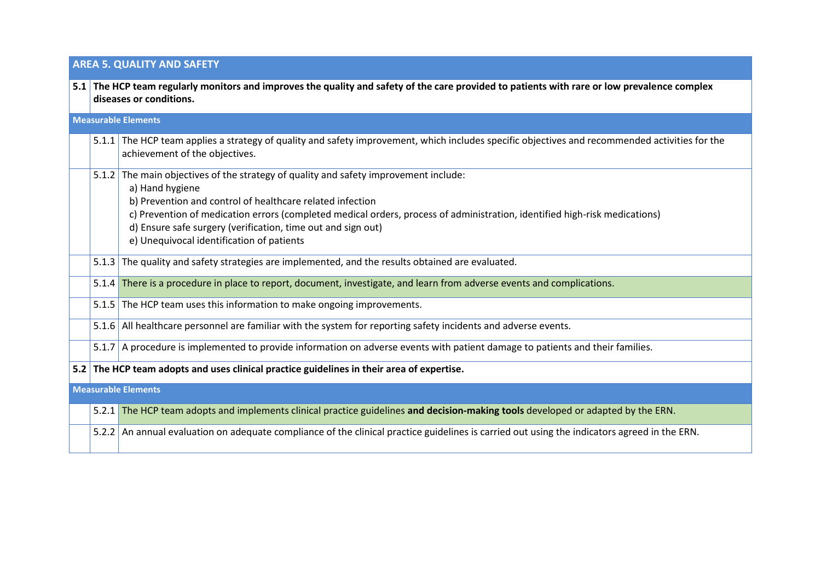## **AREA 5. QUALITY AND SAFETY**

|                            |                            | 5.1 The HCP team regularly monitors and improves the quality and safety of the care provided to patients with rare or low prevalence complex<br>diseases or conditions.                                                                                                                                                                                                                                         |  |  |  |  |
|----------------------------|----------------------------|-----------------------------------------------------------------------------------------------------------------------------------------------------------------------------------------------------------------------------------------------------------------------------------------------------------------------------------------------------------------------------------------------------------------|--|--|--|--|
|                            | <b>Measurable Elements</b> |                                                                                                                                                                                                                                                                                                                                                                                                                 |  |  |  |  |
|                            |                            | 5.1.1 The HCP team applies a strategy of quality and safety improvement, which includes specific objectives and recommended activities for the<br>achievement of the objectives.                                                                                                                                                                                                                                |  |  |  |  |
|                            |                            | 5.1.2 The main objectives of the strategy of quality and safety improvement include:<br>a) Hand hygiene<br>b) Prevention and control of healthcare related infection<br>c) Prevention of medication errors (completed medical orders, process of administration, identified high-risk medications)<br>d) Ensure safe surgery (verification, time out and sign out)<br>e) Unequivocal identification of patients |  |  |  |  |
|                            |                            | 5.1.3 The quality and safety strategies are implemented, and the results obtained are evaluated.                                                                                                                                                                                                                                                                                                                |  |  |  |  |
|                            |                            | 5.1.4 There is a procedure in place to report, document, investigate, and learn from adverse events and complications.                                                                                                                                                                                                                                                                                          |  |  |  |  |
|                            |                            | 5.1.5 The HCP team uses this information to make ongoing improvements.                                                                                                                                                                                                                                                                                                                                          |  |  |  |  |
|                            |                            | 5.1.6 All healthcare personnel are familiar with the system for reporting safety incidents and adverse events.                                                                                                                                                                                                                                                                                                  |  |  |  |  |
|                            |                            | 5.1.7 A procedure is implemented to provide information on adverse events with patient damage to patients and their families.                                                                                                                                                                                                                                                                                   |  |  |  |  |
| 5.2                        |                            | The HCP team adopts and uses clinical practice guidelines in their area of expertise.                                                                                                                                                                                                                                                                                                                           |  |  |  |  |
| <b>Measurable Elements</b> |                            |                                                                                                                                                                                                                                                                                                                                                                                                                 |  |  |  |  |
|                            |                            | 5.2.1 The HCP team adopts and implements clinical practice guidelines and decision-making tools developed or adapted by the ERN.                                                                                                                                                                                                                                                                                |  |  |  |  |

5.2.2 An annual evaluation on adequate compliance of the clinical practice guidelines is carried out using the indicators agreed in the ERN.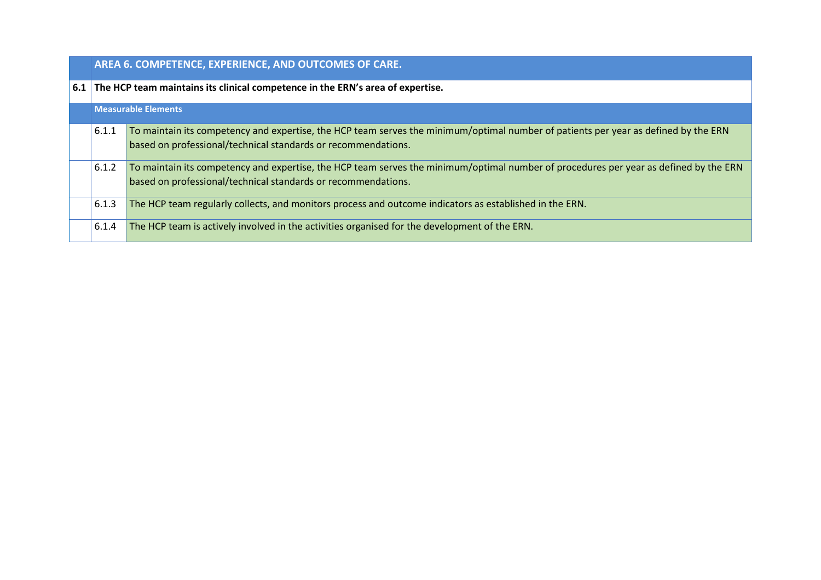|     | AREA 6. COMPETENCE, EXPERIENCE, AND OUTCOMES OF CARE.                          |                                                                                                                                                                                                        |  |
|-----|--------------------------------------------------------------------------------|--------------------------------------------------------------------------------------------------------------------------------------------------------------------------------------------------------|--|
| 6.1 | The HCP team maintains its clinical competence in the ERN's area of expertise. |                                                                                                                                                                                                        |  |
|     | <b>Measurable Elements</b>                                                     |                                                                                                                                                                                                        |  |
|     | 6.1.1                                                                          | To maintain its competency and expertise, the HCP team serves the minimum/optimal number of patients per year as defined by the ERN<br>based on professional/technical standards or recommendations.   |  |
|     | 6.1.2                                                                          | To maintain its competency and expertise, the HCP team serves the minimum/optimal number of procedures per year as defined by the ERN<br>based on professional/technical standards or recommendations. |  |
|     | 6.1.3                                                                          | The HCP team regularly collects, and monitors process and outcome indicators as established in the ERN.                                                                                                |  |
|     | 6.1.4                                                                          | The HCP team is actively involved in the activities organised for the development of the ERN.                                                                                                          |  |